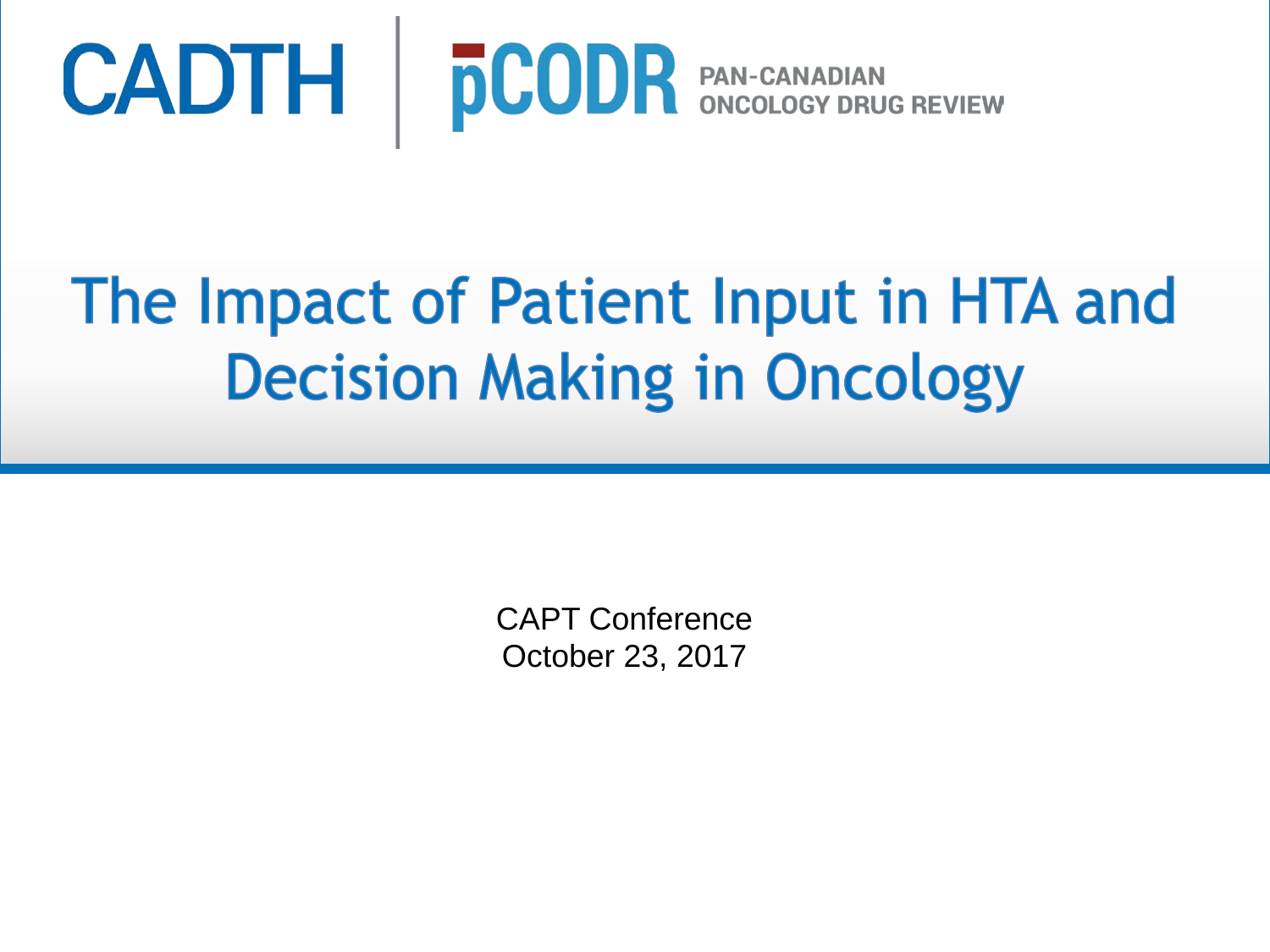

# The Impact of Patient Input in HTA and **Decision Making in Oncology**

CAPT Conference October 23, 2017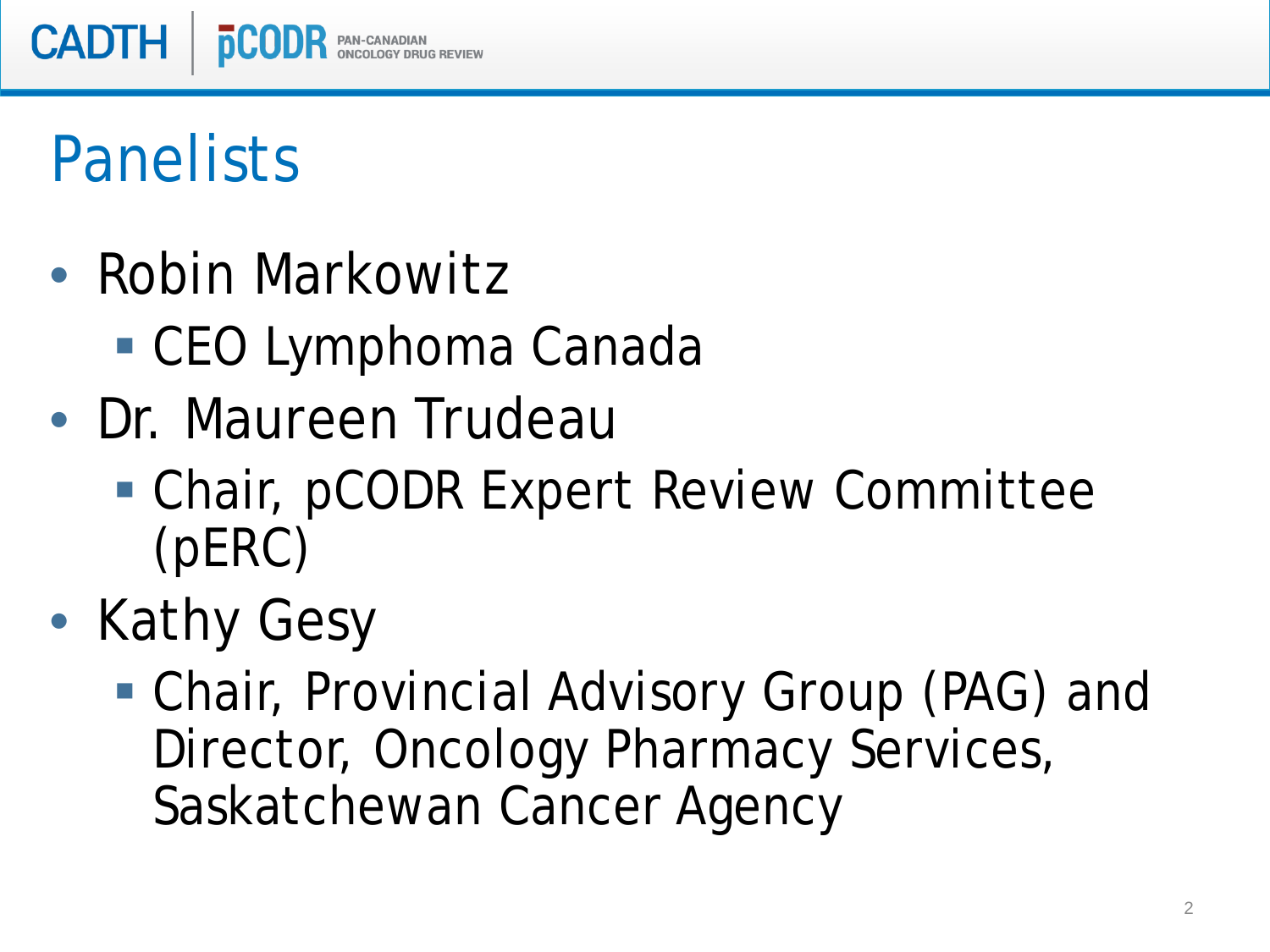

# Panelists

- Robin Markowitz
	- CEO Lymphoma Canada
- Dr. Maureen Trudeau
	- Chair, pCODR Expert Review Committee (pERC)
- Kathy Gesy
	- Chair, Provincial Advisory Group (PAG) and Director, Oncology Pharmacy Services, Saskatchewan Cancer Agency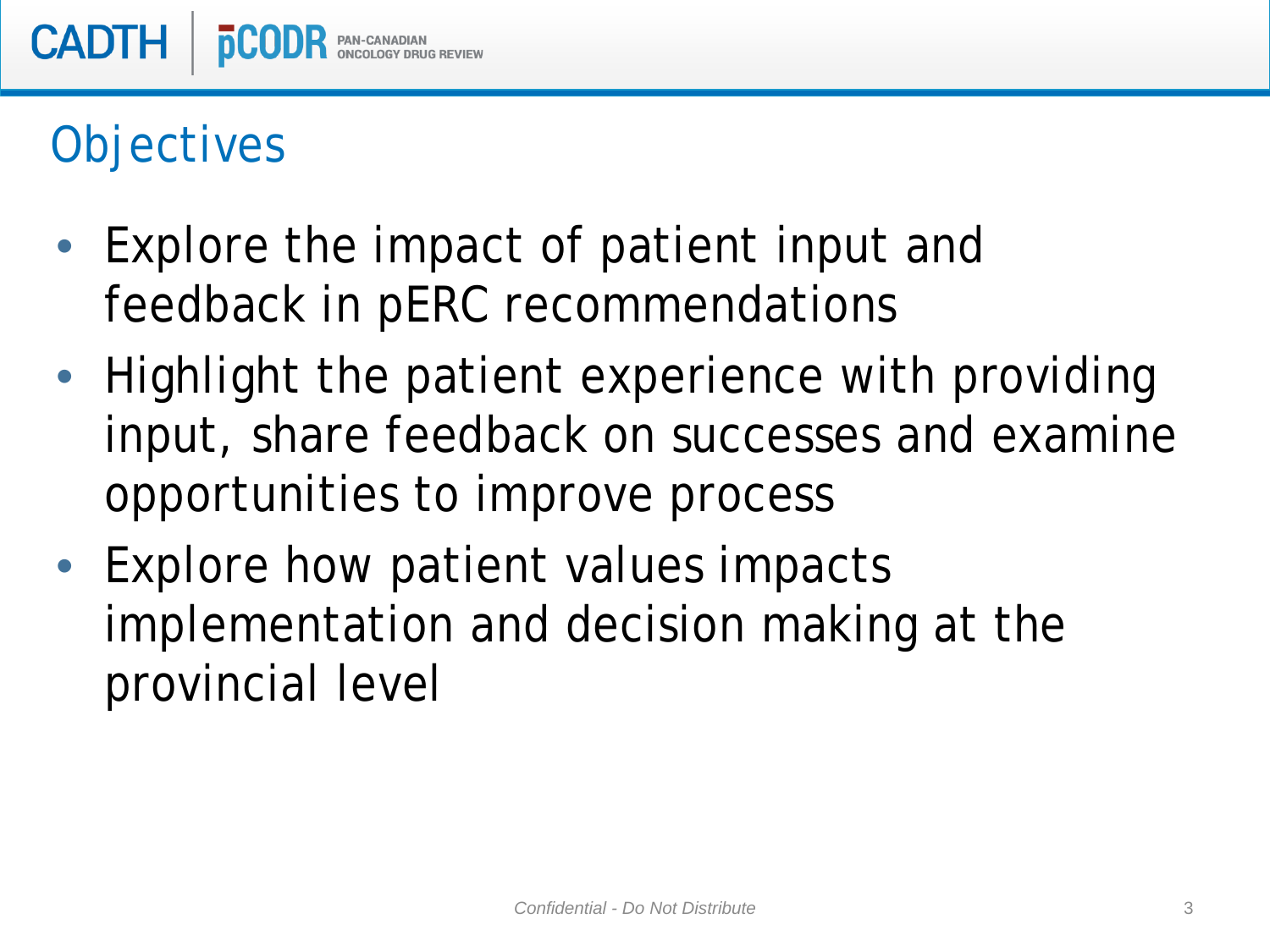### **Objectives**

- Explore the impact of patient input and feedback in pERC recommendations
- Highlight the patient experience with providing input, share feedback on successes and examine opportunities to improve process
- Explore how patient values impacts implementation and decision making at the provincial level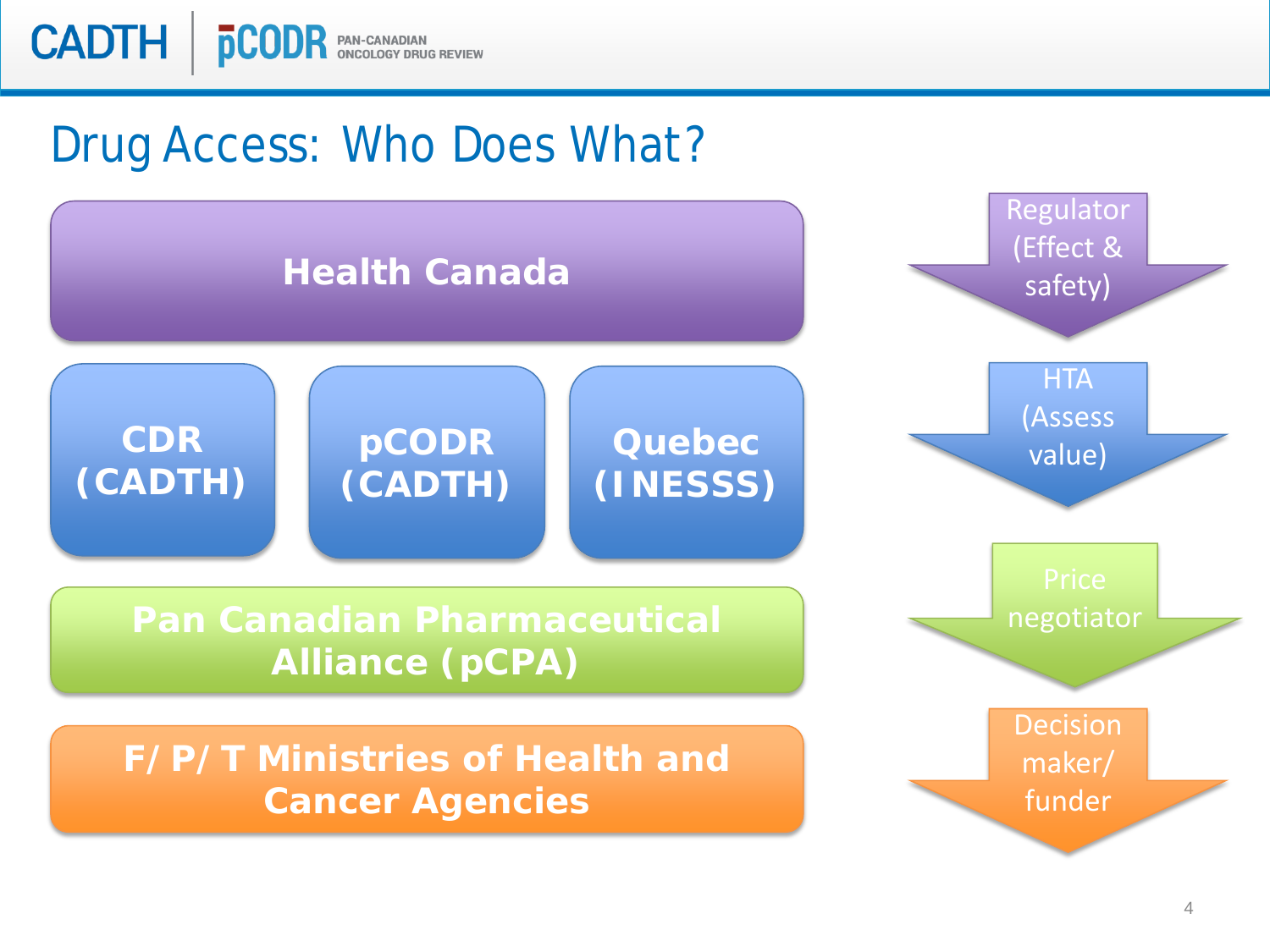

### Drug Access: Who Does What?

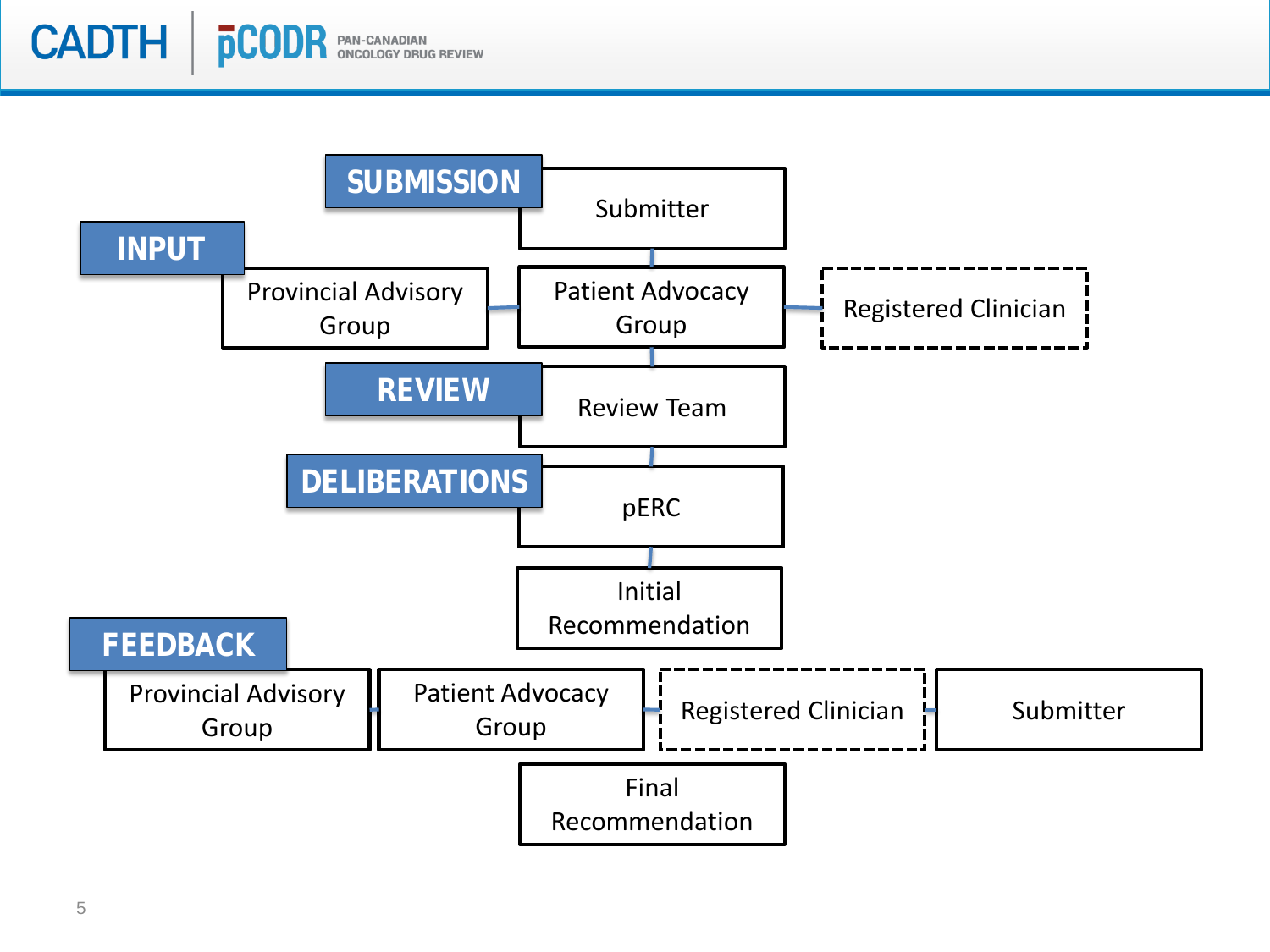

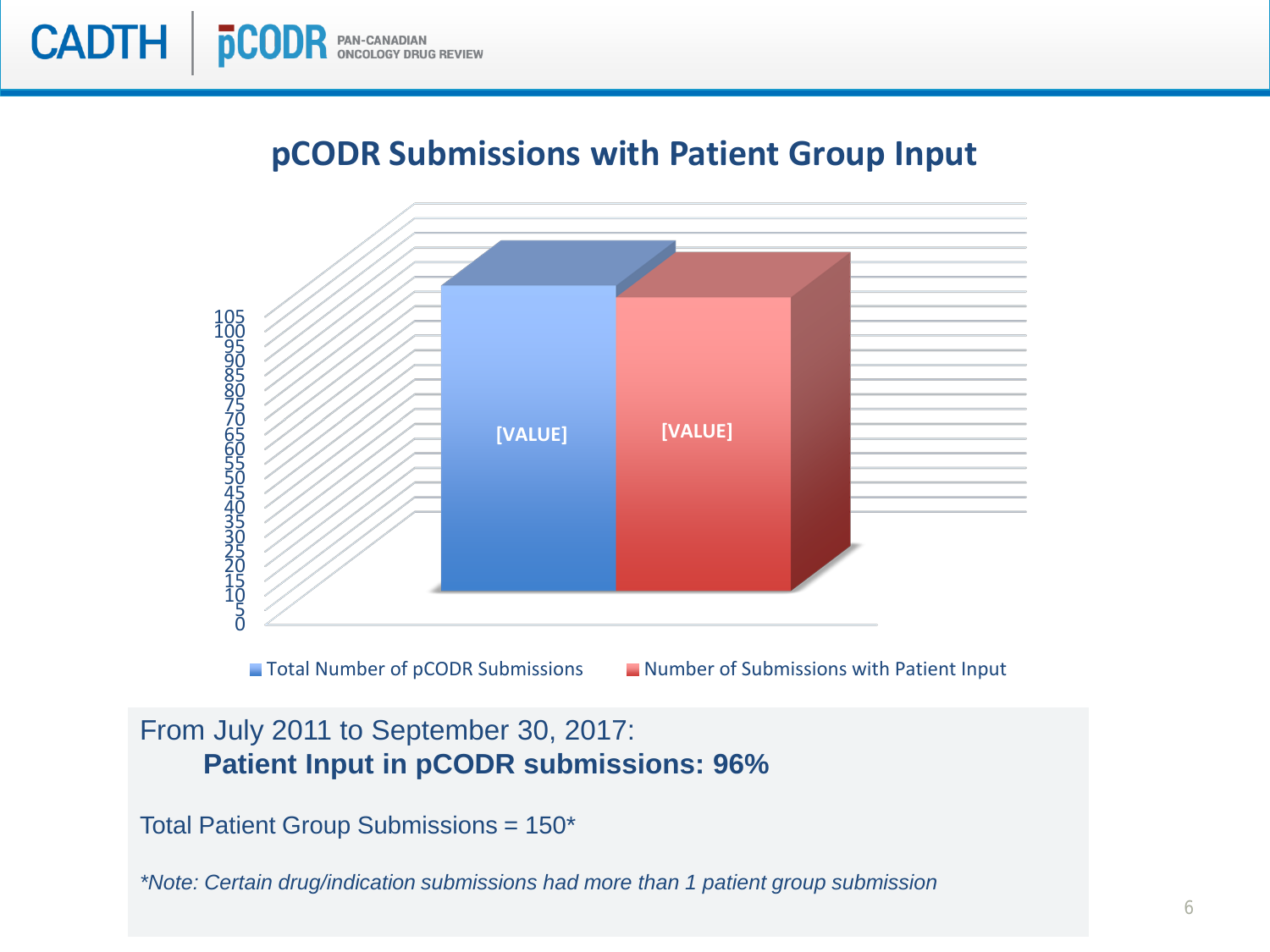

#### **pCODR Submissions with Patient Group Input**



#### From July 2011 to September 30, 2017: **Patient Input in pCODR submissions: 96%**

Total Patient Group Submissions = 150\*

*\*Note: Certain drug/indication submissions had more than 1 patient group submission*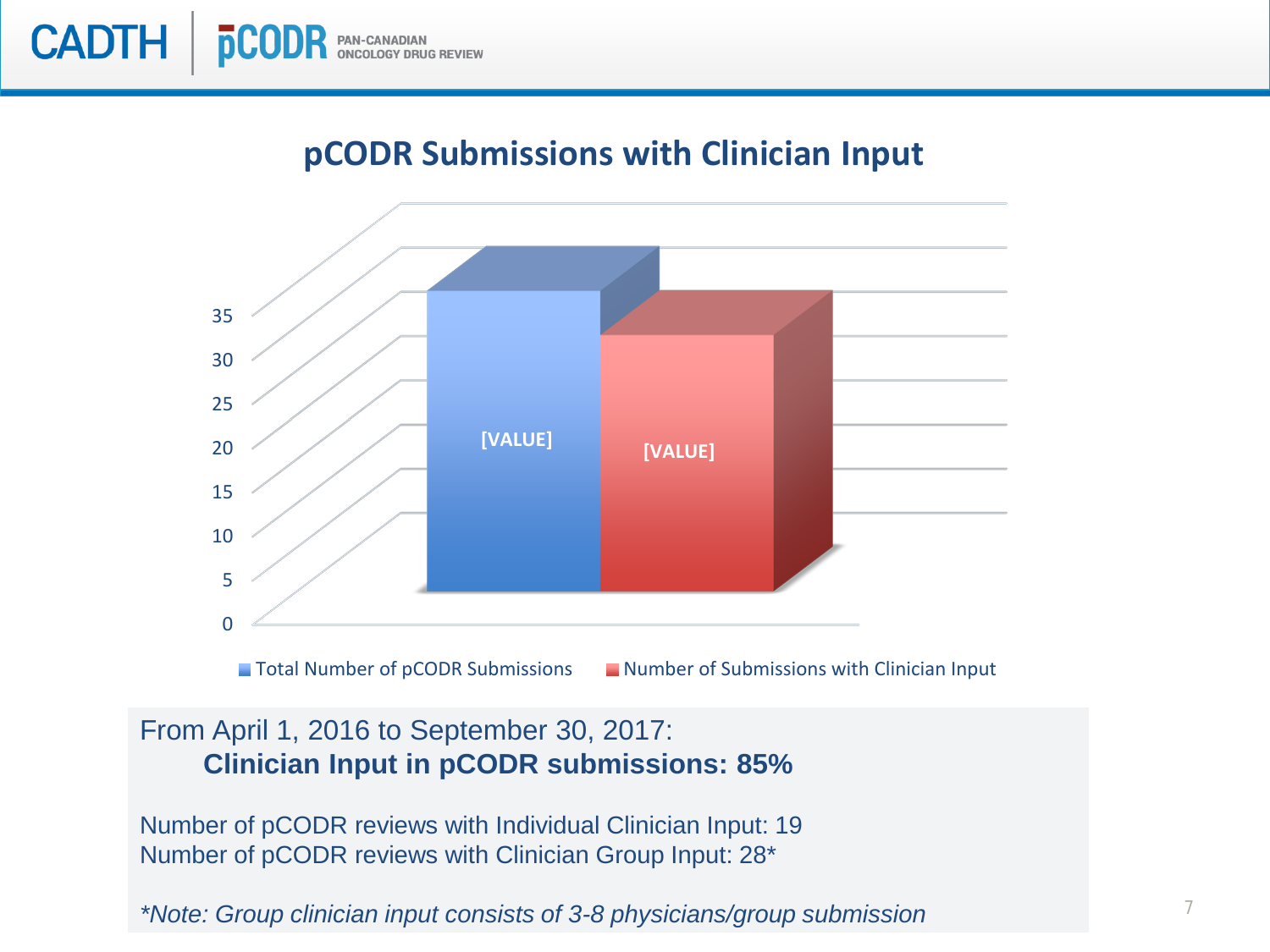#### **pCODR Submissions with Clinician Input**



#### From April 1, 2016 to September 30, 2017: **Clinician Input in pCODR submissions: 85%**

Number of pCODR reviews with Individual Clinician Input: 19 Number of pCODR reviews with Clinician Group Input: 28\*

*\*Note: Group clinician input consists of 3-8 physicians/group submission*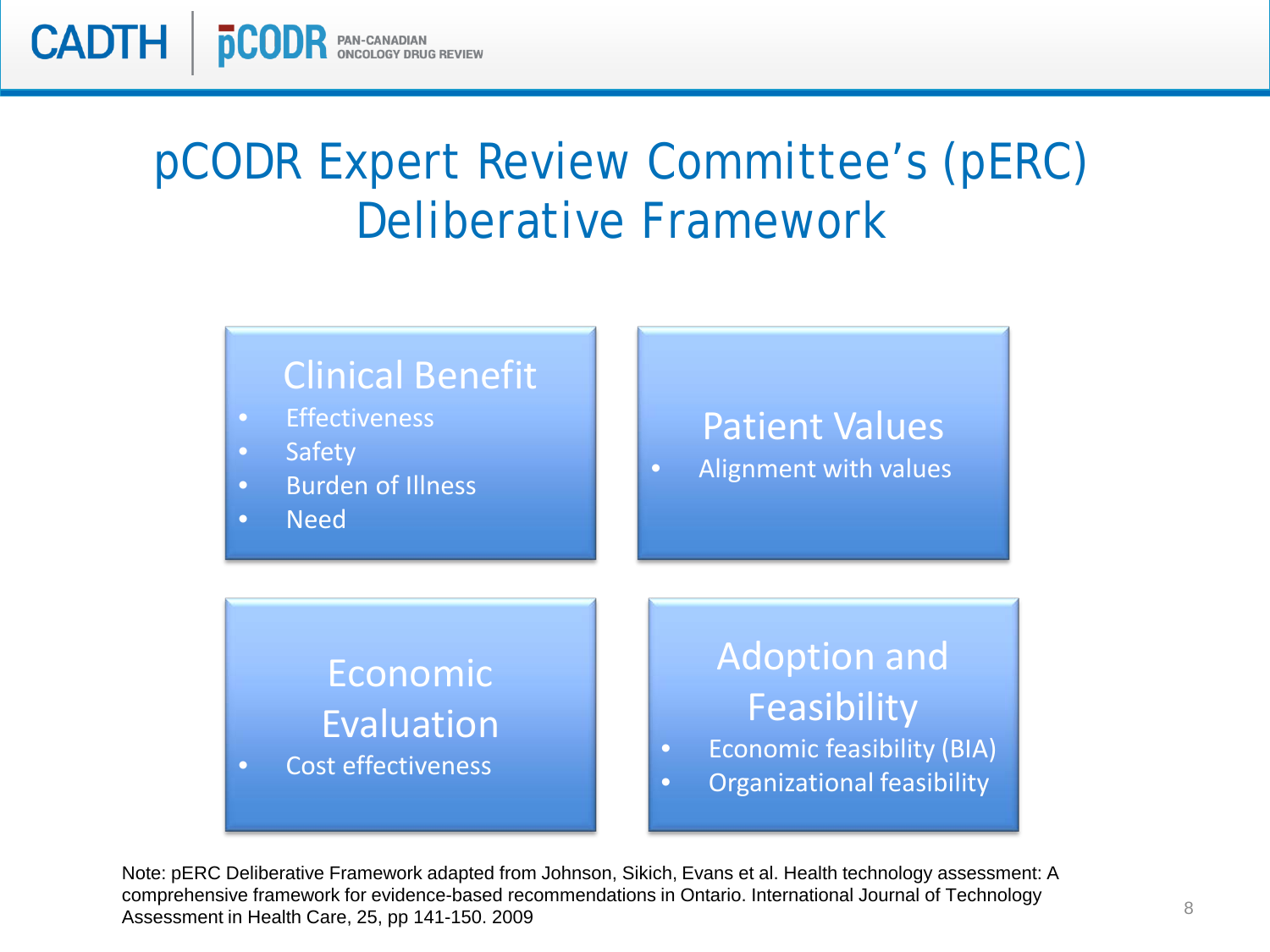pCODR Expert Review Committee's (pERC) Deliberative Framework

**CADTH** 

**pC** 



Note: pERC Deliberative Framework adapted from Johnson, Sikich, Evans et al. Health technology assessment: A comprehensive framework for evidence-based recommendations in Ontario. International Journal of Technology Assessment in Health Care, 25, pp 141-150. 2009